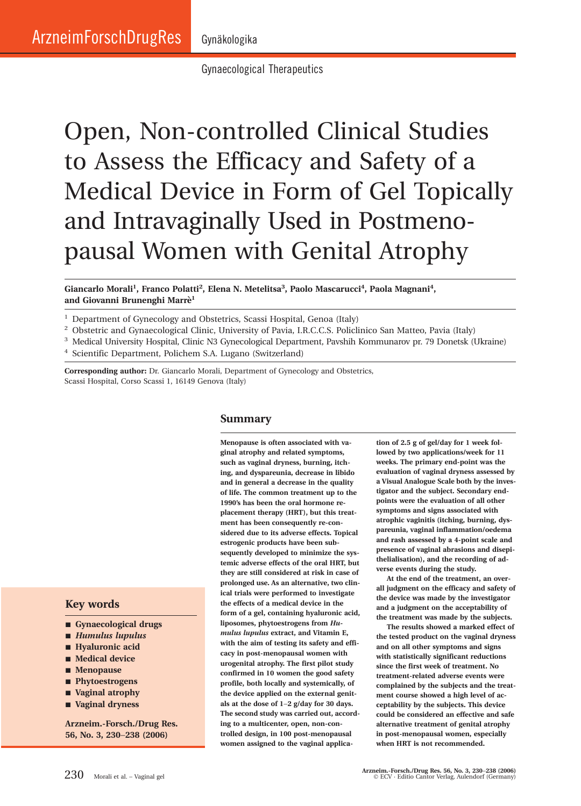Gynaecological Therapeutics

# Open, Non-controlled Clinical Studies to Assess the Efficacy and Safety of a Medical Device in Form of Gel Topically and Intravaginally Used in Postmenopausal Women with Genital Atrophy

**Giancarlo Morali1, Franco Polatti2, Elena N. Metelitsa3, Paolo Mascarucci4, Paola Magnani4, and Giovanni Brunenghi Marre`1**

**Summary**

<sup>1</sup> Department of Gynecology and Obstetrics, Scassi Hospital, Genoa (Italy)

- <sup>2</sup> Obstetric and Gynaecological Clinic, University of Pavia, I.R.C.C.S. Policlinico San Matteo, Pavia (Italy)
- <sup>3</sup> Medical University Hospital, Clinic N3 Gynecological Department, Pavshih Kommunarov pr. 79 Donetsk (Ukraine)

**Menopause is often associated with vaginal atrophy and related symptoms,**

<sup>4</sup> Scientific Department, Polichem S.A. Lugano (Switzerland)

**Corresponding author:** Dr. Giancarlo Morali, Department of Gynecology and Obstetrics, Scassi Hospital, Corso Scassi 1, 16149 Genova (Italy)

# **Key words**

- **Gynaecological drugs**
- *Humulus lupulus*
- **Hyaluronic acid**
- Medical device
- **Menopause**
- **Phytoestrogens**
- **Vaginal atrophy**
- **Vaginal dryness**

**Arzneim.-Forsch./Drug Res. 56, No. 3, 230**−**238 (2006)**

**such as vaginal dryness, burning, itching, and dyspareunia, decrease in libido and in general a decrease in the quality of life. The common treatment up to the 1990's has been the oral hormone replacement therapy (HRT), but this treatment has been consequently re-considered due to its adverse effects. Topical estrogenic products have been subsequently developed to minimize the systemic adverse effects of the oral HRT, but they are still considered at risk in case of prolonged use. As an alternative, two clinical trials were performed to investigate the effects of a medical device in the form of a gel, containing hyaluronic acid, liposomes, phytoestrogens from** *Humulus lupulus* **extract, and Vitamin E, with the aim of testing its safety and efficacy in post-menopausal women with urogenital atrophy. The first pilot study confirmed in 10 women the good safety profile, both locally and systemically, of the device applied on the external genitals at the dose of 1**−**2 g/day for 30 days. The second study was carried out, according to a multicenter, open, non-controlled design, in 100 post-menopausal women assigned to the vaginal applica-**

**tion of 2.5 g of gel/day for 1 week followed by two applications/week for 11 weeks. The primary end-point was the evaluation of vaginal dryness assessed by a Visual Analogue Scale both by the investigator and the subject. Secondary endpoints were the evaluation of all other symptoms and signs associated with atrophic vaginitis (itching, burning, dyspareunia, vaginal inflammation/oedema and rash assessed by a 4-point scale and presence of vaginal abrasions and disepithelialisation), and the recording of adverse events during the study.**

**At the end of the treatment, an overall judgment on the efficacy and safety of the device was made by the investigator and a judgment on the acceptability of the treatment was made by the subjects.**

**The results showed a marked effect of the tested product on the vaginal dryness and on all other symptoms and signs with statistically significant reductions since the first week of treatment. No treatment-related adverse events were complained by the subjects and the treatment course showed a high level of acceptability by the subjects. This device could be considered an effective and safe alternative treatment of genital atrophy in post-menopausal women, especially when HRT is not recommended.**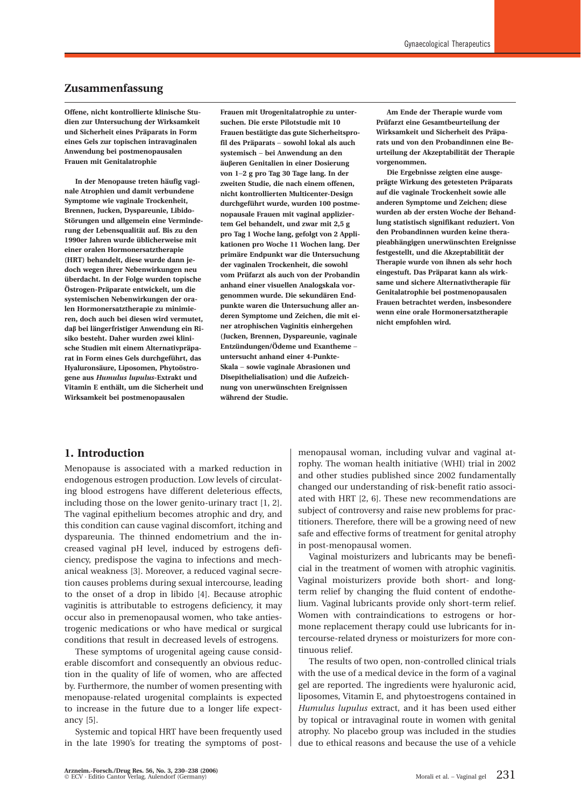## **Zusammenfassung**

**Offene, nicht kontrollierte klinische Studien zur Untersuchung der Wirksamkeit und Sicherheit eines Präparats in Form eines Gels zur topischen intravaginalen Anwendung bei postmenopausalen Frauen mit Genitalatrophie**

**In der Menopause treten häufig vaginale Atrophien und damit verbundene Symptome wie vaginale Trockenheit, Brennen, Jucken, Dyspareunie, Libido-Störungen und allgemein eine Verminderung der Lebensqualität auf. Bis zu den 1990er Jahren wurde üblicherweise mit einer oralen Hormonersatztherapie (HRT) behandelt, diese wurde dann jedoch wegen ihrer Nebenwirkungen neu überdacht. In der Folge wurden topische Östrogen-Präparate entwickelt, um die systemischen Nebenwirkungen der oralen Hormonersatztherapie zu minimieren, doch auch bei diesen wird vermutet, daβ bei längerfristiger Anwendung ein Risiko besteht. Daher wurden zwei klinische Studien mit einem Alternativpräparat in Form eines Gels durchgeführt, das Hyaluronsäure, Liposomen, Phytoöstrogene aus** *Humulus lupulus***-Extrakt und Vitamin E enthält, um die Sicherheit und Wirksamkeit bei postmenopausalen**

**Frauen mit Urogenitalatrophie zu untersuchen. Die erste Pilotstudie mit 10 Frauen bestätigte das gute Sicherheitsprofil des Präparats** − **sowohl lokal als auch systemisch** − **bei Anwendung an den äuβeren Genitalien in einer Dosierung von 1**−**2 g pro Tag 30 Tage lang. In der zweiten Studie, die nach einem offenen, nicht kontrollierten Multicenter-Design durchgeführt wurde, wurden 100 postmenopausale Frauen mit vaginal appliziertem Gel behandelt, und zwar mit 2,5 g pro Tag 1 Woche lang, gefolgt von 2 Applikationen pro Woche 11 Wochen lang. Der primäre Endpunkt war die Untersuchung der vaginalen Trockenheit, die sowohl vom Prüfarzt als auch von der Probandin anhand einer visuellen Analogskala vorgenommen wurde. Die sekundären Endpunkte waren die Untersuchung aller anderen Symptome und Zeichen, die mit einer atrophischen Vaginitis einhergehen (Jucken, Brennen, Dyspareunie, vaginale Entzündungen/Ödeme und Exantheme** − **untersucht anhand einer 4-Punkte-Skala** − **sowie vaginale Abrasionen und Disepithelialisation) und die Aufzeichnung von unerwünschten Ereignissen während der Studie.**

**Am Ende der Therapie wurde vom Prüfarzt eine Gesamtbeurteilung der Wirksamkeit und Sicherheit des Präparats und von den Probandinnen eine Beurteilung der Akzeptabilität der Therapie vorgenommen.**

**Die Ergebnisse zeigten eine ausgeprägte Wirkung des getesteten Präparats auf die vaginale Trockenheit sowie alle anderen Symptome und Zeichen; diese wurden ab der ersten Woche der Behandlung statistisch signifikant reduziert. Von den Probandinnen wurden keine therapieabhängigen unerwünschten Ereignisse festgestellt, und die Akzeptabilität der Therapie wurde von ihnen als sehr hoch eingestuft. Das Präparat kann als wirksame und sichere Alternativtherapie für Genitalatrophie bei postmenopausalen Frauen betrachtet werden, insbesondere wenn eine orale Hormonersatztherapie nicht empfohlen wird.**

## **1. Introduction**

Menopause is associated with a marked reduction in endogenous estrogen production. Low levels of circulating blood estrogens have different deleterious effects, including those on the lower genito-urinary tract [1, 2]. The vaginal epithelium becomes atrophic and dry, and this condition can cause vaginal discomfort, itching and dyspareunia. The thinned endometrium and the increased vaginal pH level, induced by estrogens deficiency, predispose the vagina to infections and mechanical weakness [3]. Moreover, a reduced vaginal secretion causes problems during sexual intercourse, leading to the onset of a drop in libido [4]. Because atrophic vaginitis is attributable to estrogens deficiency, it may occur also in premenopausal women, who take antiestrogenic medications or who have medical or surgical conditions that result in decreased levels of estrogens.

These symptoms of urogenital ageing cause considerable discomfort and consequently an obvious reduction in the quality of life of women, who are affected by. Furthermore, the number of women presenting with menopause-related urogenital complaints is expected to increase in the future due to a longer life expectancy [5].

Systemic and topical HRT have been frequently used in the late 1990's for treating the symptoms of postmenopausal woman, including vulvar and vaginal atrophy. The woman health initiative (WHI) trial in 2002 and other studies published since 2002 fundamentally changed our understanding of risk-benefit ratio associated with HRT [2, 6]. These new recommendations are subject of controversy and raise new problems for practitioners. Therefore, there will be a growing need of new safe and effective forms of treatment for genital atrophy in post-menopausal women.

Vaginal moisturizers and lubricants may be beneficial in the treatment of women with atrophic vaginitis. Vaginal moisturizers provide both short- and longterm relief by changing the fluid content of endothelium. Vaginal lubricants provide only short-term relief. Women with contraindications to estrogens or hormone replacement therapy could use lubricants for intercourse-related dryness or moisturizers for more continuous relief.

The results of two open, non-controlled clinical trials with the use of a medical device in the form of a vaginal gel are reported. The ingredients were hyaluronic acid, liposomes, Vitamin E, and phytoestrogens contained in *Humulus lupulus* extract, and it has been used either by topical or intravaginal route in women with genital atrophy. No placebo group was included in the studies due to ethical reasons and because the use of a vehicle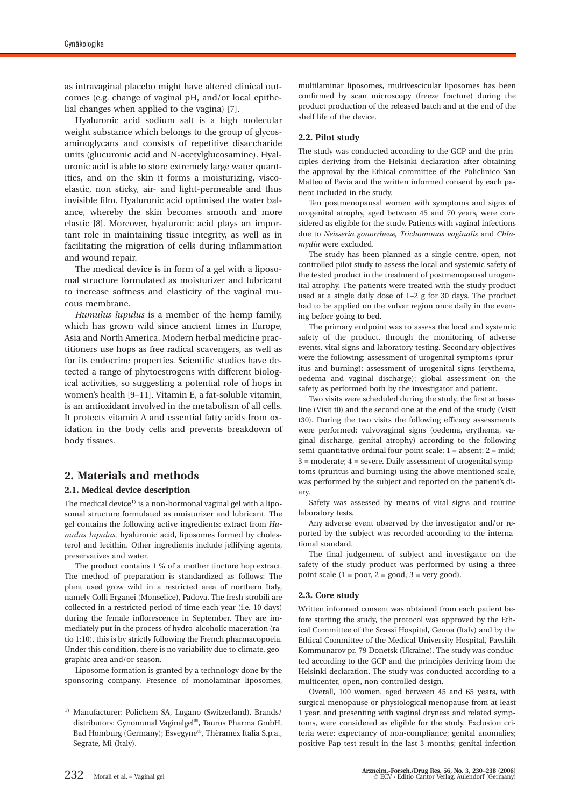as intravaginal placebo might have altered clinical outcomes (e.g. change of vaginal pH, and/or local epithelial changes when applied to the vagina) [7].

Hyaluronic acid sodium salt is a high molecular weight substance which belongs to the group of glycosaminoglycans and consists of repetitive disaccharide units (glucuronic acid and N-acetylglucosamine). Hyaluronic acid is able to store extremely large water quantities, and on the skin it forms a moisturizing, viscoelastic, non sticky, air- and light-permeable and thus invisible film. Hyaluronic acid optimised the water balance, whereby the skin becomes smooth and more elastic [8]. Moreover, hyaluronic acid plays an important role in maintaining tissue integrity, as well as in facilitating the migration of cells during inflammation and wound repair.

The medical device is in form of a gel with a liposomal structure formulated as moisturizer and lubricant to increase softness and elasticity of the vaginal mucous membrane.

*Humulus lupulus* is a member of the hemp family, which has grown wild since ancient times in Europe, Asia and North America. Modern herbal medicine practitioners use hops as free radical scavengers, as well as for its endocrine properties. Scientific studies have detected a range of phytoestrogens with different biological activities, so suggesting a potential role of hops in women's health [9−11]. Vitamin E, a fat-soluble vitamin, is an antioxidant involved in the metabolism of all cells. It protects vitamin A and essential fatty acids from oxidation in the body cells and prevents breakdown of body tissues.

## **2. Materials and methods**

#### **2.1. Medical device description**

The medical device<sup>1)</sup> is a non-hormonal vaginal gel with a liposomal structure formulated as moisturizer and lubricant. The gel contains the following active ingredients: extract from *Humulus lupulus*, hyaluronic acid, liposomes formed by cholesterol and lecithin. Other ingredients include jellifying agents, preservatives and water.

The product contains 1 % of a mother tincture hop extract. The method of preparation is standardized as follows: The plant used grow wild in a restricted area of northern Italy, namely Colli Erganei (Monselice), Padova. The fresh strobili are collected in a restricted period of time each year (i.e. 10 days) during the female inflorescence in September. They are immediately put in the process of hydro-alcoholic maceration (ratio 1:10), this is by strictly following the French pharmacopoeia. Under this condition, there is no variability due to climate, geographic area and/or season.

Liposome formation is granted by a technology done by the sponsoring company. Presence of monolaminar liposomes, multilaminar liposomes, multivescicular liposomes has been confirmed by scan microscopy (freeze fracture) during the product production of the released batch and at the end of the shelf life of the device.

#### **2.2. Pilot study**

The study was conducted according to the GCP and the principles deriving from the Helsinki declaration after obtaining the approval by the Ethical committee of the Policlinico San Matteo of Pavia and the written informed consent by each patient included in the study.

Ten postmenopausal women with symptoms and signs of urogenital atrophy, aged between 45 and 70 years, were considered as eligible for the study. Patients with vaginal infections due to *Neisseria gonorrheae, Trichomonas vaginalis* and *Chlamydia* were excluded.

The study has been planned as a single centre, open, not controlled pilot study to assess the local and systemic safety of the tested product in the treatment of postmenopausal urogenital atrophy. The patients were treated with the study product used at a single daily dose of 1−2 g for 30 days. The product had to be applied on the vulvar region once daily in the evening before going to bed.

The primary endpoint was to assess the local and systemic safety of the product, through the monitoring of adverse events, vital signs and laboratory testing. Secondary objectives were the following: assessment of urogenital symptoms (pruritus and burning); assessment of urogenital signs (erythema, oedema and vaginal discharge); global assessment on the safety as performed both by the investigator and patient.

Two visits were scheduled during the study, the first at baseline (Visit t0) and the second one at the end of the study (Visit t30). During the two visits the following efficacy assessments were performed: vulvovaginal signs (oedema, erythema, vaginal discharge, genital atrophy) according to the following semi-quantitative ordinal four-point scale: 1 = absent; 2 = mild;  $3 =$  moderate;  $4 =$  severe. Daily assessment of urogenital symptoms (pruritus and burning) using the above mentioned scale, was performed by the subject and reported on the patient's diary.

Safety was assessed by means of vital signs and routine laboratory tests.

Any adverse event observed by the investigator and/or reported by the subject was recorded according to the international standard.

The final judgement of subject and investigator on the safety of the study product was performed by using a three point scale  $(1 = poor, 2 = good, 3 = very good).$ 

#### **2.3. Core study**

Written informed consent was obtained from each patient before starting the study, the protocol was approved by the Ethical Committee of the Scassi Hospital, Genoa (Italy) and by the Ethical Committee of the Medical University Hospital, Pavshih Kommunarov pr. 79 Donetsk (Ukraine). The study was conducted according to the GCP and the principles deriving from the Helsinki declaration. The study was conducted according to a multicenter, open, non-controlled design.

Overall, 100 women, aged between 45 and 65 years, with surgical menopause or physiological menopause from at least 1 year, and presenting with vaginal dryness and related symptoms, were considered as eligible for the study. Exclusion criteria were: expectancy of non-compliance; genital anomalies; positive Pap test result in the last 3 months; genital infection

<sup>1)</sup> Manufacturer: Polichem SA, Lugano (Switzerland). Brands/ distributors: Gynomunal Vaginalgel®, Taurus Pharma GmbH, Bad Homburg (Germany); Esvegyne®, Thèramex Italia S.p.a., Segrate, Mi (Italy).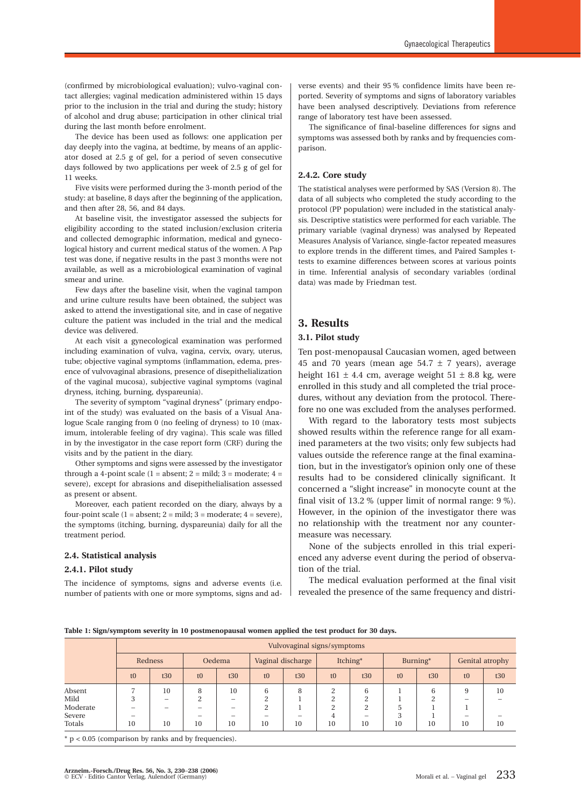(confirmed by microbiological evaluation); vulvo-vaginal contact allergies; vaginal medication administered within 15 days prior to the inclusion in the trial and during the study; history of alcohol and drug abuse; participation in other clinical trial during the last month before enrolment.

The device has been used as follows: one application per day deeply into the vagina, at bedtime, by means of an applicator dosed at 2.5 g of gel, for a period of seven consecutive days followed by two applications per week of 2.5 g of gel for 11 weeks.

Five visits were performed during the 3-month period of the study: at baseline, 8 days after the beginning of the application, and then after 28, 56, and 84 days.

At baseline visit, the investigator assessed the subjects for eligibility according to the stated inclusion/exclusion criteria and collected demographic information, medical and gynecological history and current medical status of the women. A Pap test was done, if negative results in the past 3 months were not available, as well as a microbiological examination of vaginal smear and urine.

Few days after the baseline visit, when the vaginal tampon and urine culture results have been obtained, the subject was asked to attend the investigational site, and in case of negative culture the patient was included in the trial and the medical device was delivered.

At each visit a gynecological examination was performed including examination of vulva, vagina, cervix, ovary, uterus, tube; objective vaginal symptoms (inflammation, edema, presence of vulvovaginal abrasions, presence of disepithelialization of the vaginal mucosa), subjective vaginal symptoms (vaginal dryness, itching, burning, dyspareunia).

The severity of symptom "vaginal dryness" (primary endpoint of the study) was evaluated on the basis of a Visual Analogue Scale ranging from 0 (no feeling of dryness) to 10 (maximum, intolerable feeling of dry vagina). This scale was filled in by the investigator in the case report form (CRF) during the visits and by the patient in the diary.

Other symptoms and signs were assessed by the investigator through a 4-point scale  $(1 = absent; 2 = mild; 3 = moderate; 4 =$ severe), except for abrasions and disepithelialisation assessed as present or absent.

Moreover, each patient recorded on the diary, always by a four-point scale  $(1 = absent; 2 = mild; 3 = moderate; 4 = severe)$ , the symptoms (itching, burning, dyspareunia) daily for all the treatment period.

#### **2.4. Statistical analysis**

#### **2.4.1. Pilot study**

The incidence of symptoms, signs and adverse events (i.e. number of patients with one or more symptoms, signs and ad-

verse events) and their 95 % confidence limits have been reported. Severity of symptoms and signs of laboratory variables have been analysed descriptively. Deviations from reference range of laboratory test have been assessed.

The significance of final-baseline differences for signs and symptoms was assessed both by ranks and by frequencies comparison.

#### **2.4.2. Core study**

The statistical analyses were performed by SAS (Version 8). The data of all subjects who completed the study according to the protocol (PP population) were included in the statistical analysis. Descriptive statistics were performed for each variable. The primary variable (vaginal dryness) was analysed by Repeated Measures Analysis of Variance, single-factor repeated measures to explore trends in the different times, and Paired Samples ttests to examine differences between scores at various points in time. Inferential analysis of secondary variables (ordinal data) was made by Friedman test.

# **3. Results**

#### **3.1. Pilot study**

Ten post-menopausal Caucasian women, aged between 45 and 70 years (mean age  $54.7 \pm 7$  years), average height 161  $\pm$  4.4 cm, average weight 51  $\pm$  8.8 kg, were enrolled in this study and all completed the trial procedures, without any deviation from the protocol. Therefore no one was excluded from the analyses performed.

With regard to the laboratory tests most subjects showed results within the reference range for all examined parameters at the two visits; only few subjects had values outside the reference range at the final examination, but in the investigator's opinion only one of these results had to be considered clinically significant. It concerned a "slight increase" in monocyte count at the final visit of 13.2 % (upper limit of normal range: 9 %). However, in the opinion of the investigator there was no relationship with the treatment nor any countermeasure was necessary.

None of the subjects enrolled in this trial experienced any adverse event during the period of observation of the trial.

The medical evaluation performed at the final visit revealed the presence of the same frequency and distri-

| Table 1: Sign/symptom severity in 10 postmenopausal women applied the test product for 30 days. |  |  |  |
|-------------------------------------------------------------------------------------------------|--|--|--|
|-------------------------------------------------------------------------------------------------|--|--|--|

| Vulvovaginal signs/symptoms |     |               |     |                   |     |               |               |          |                 |                 |     |
|-----------------------------|-----|---------------|-----|-------------------|-----|---------------|---------------|----------|-----------------|-----------------|-----|
| Redness                     |     | Oedema        |     | Vaginal discharge |     | Itching*      |               | Burning* |                 | Genital atrophy |     |
| t0                          | t30 | t0            | t30 | t0                | t30 | t0            | t30           | t0       | t30             | t0              | t30 |
|                             | 10  | 8<br>$\Omega$ | 10  | 6<br>h            | 8   | ↑<br>$\Omega$ | 6<br>$\Omega$ |          | 6<br>$\sqrt{2}$ | 9               | 10  |
| -                           |     |               |     | ↑<br>-            |     | $\Omega$<br>4 | <sup>o</sup>  | h<br>ς   |                 |                 | 10  |
|                             | 10  | 10            | 10  | 10                | 10  | 10            | 10            | 10       | 10              | 10              | 10  |

\* p < 0.05 (comparison by ranks and by frequencies).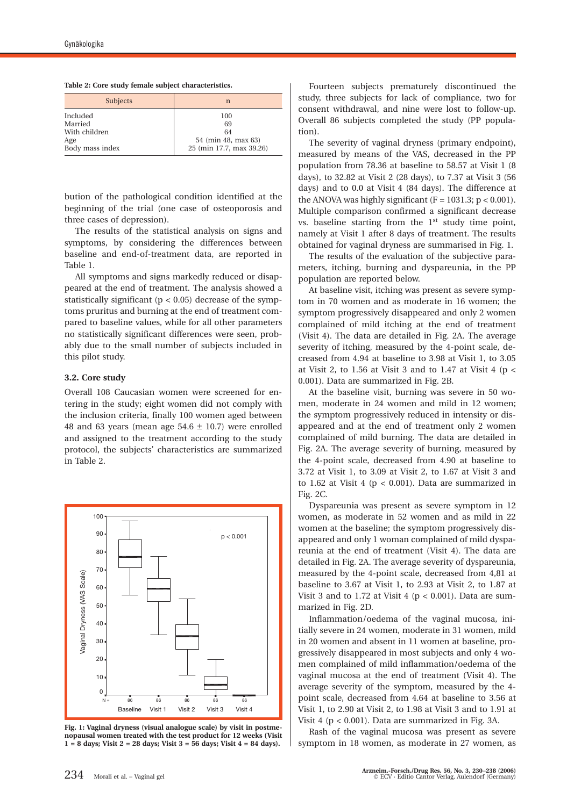| Subjects                                    | n                                      |
|---------------------------------------------|----------------------------------------|
| Included<br>Married<br>With children<br>Age | 100<br>69<br>64<br>54 (min 48, max 63) |
| Body mass index                             | 25 (min 17.7, max 39.26)               |

bution of the pathological condition identified at the beginning of the trial (one case of osteoporosis and three cases of depression).

The results of the statistical analysis on signs and symptoms, by considering the differences between baseline and end-of-treatment data, are reported in Table 1.

All symptoms and signs markedly reduced or disappeared at the end of treatment. The analysis showed a statistically significant (p < 0.05) decrease of the symptoms pruritus and burning at the end of treatment compared to baseline values, while for all other parameters no statistically significant differences were seen, probably due to the small number of subjects included in this pilot study.

#### **3.2. Core study**

Overall 108 Caucasian women were screened for entering in the study; eight women did not comply with the inclusion criteria, finally 100 women aged between 48 and 63 years (mean age  $54.6 \pm 10.7$ ) were enrolled and assigned to the treatment according to the study protocol, the subjects' characteristics are summarized in Table 2.



**Fig. 1: Vaginal dryness (visual analogue scale) by visit in postmenopausal women treated with the test product for 12 weeks (Visit 1 = 8 days; Visit 2 = 28 days; Visit 3 = 56 days; Visit 4 = 84 days).**

Fourteen subjects prematurely discontinued the study, three subjects for lack of compliance, two for consent withdrawal, and nine were lost to follow-up. Overall 86 subjects completed the study (PP population).

The severity of vaginal dryness (primary endpoint), measured by means of the VAS, decreased in the PP population from 78.36 at baseline to 58.57 at Visit 1 (8 days), to 32.82 at Visit 2 (28 days), to 7.37 at Visit 3 (56 days) and to 0.0 at Visit 4 (84 days). The difference at the ANOVA was highly significant  $(F = 1031.3; p < 0.001)$ . Multiple comparison confirmed a significant decrease vs. baseline starting from the  $1<sup>st</sup>$  study time point, namely at Visit 1 after 8 days of treatment. The results obtained for vaginal dryness are summarised in Fig. 1.

The results of the evaluation of the subjective parameters, itching, burning and dyspareunia, in the PP population are reported below.

At baseline visit, itching was present as severe symptom in 70 women and as moderate in 16 women; the symptom progressively disappeared and only 2 women complained of mild itching at the end of treatment (Visit 4). The data are detailed in Fig. 2A. The average severity of itching, measured by the 4-point scale, decreased from 4.94 at baseline to 3.98 at Visit 1, to 3.05 at Visit 2, to 1.56 at Visit 3 and to 1.47 at Visit 4 ( $p <$ 0.001). Data are summarized in Fig. 2B.

At the baseline visit, burning was severe in 50 women, moderate in 24 women and mild in 12 women; the symptom progressively reduced in intensity or disappeared and at the end of treatment only 2 women complained of mild burning. The data are detailed in Fig. 2A. The average severity of burning, measured by the 4-point scale, decreased from 4.90 at baseline to 3.72 at Visit 1, to 3.09 at Visit 2, to 1.67 at Visit 3 and to 1.62 at Visit 4 ( $p < 0.001$ ). Data are summarized in Fig. 2C.

Dyspareunia was present as severe symptom in 12 women, as moderate in 52 women and as mild in 22 women at the baseline; the symptom progressively disappeared and only 1 woman complained of mild dyspareunia at the end of treatment (Visit 4). The data are detailed in Fig. 2A. The average severity of dyspareunia, measured by the 4-point scale, decreased from 4,81 at baseline to 3.67 at Visit 1, to 2.93 at Visit 2, to 1.87 at Visit 3 and to 1.72 at Visit 4 ( $p < 0.001$ ). Data are summarized in Fig. 2D.

Inflammation/oedema of the vaginal mucosa, initially severe in 24 women, moderate in 31 women, mild in 20 women and absent in 11 women at baseline, progressively disappeared in most subjects and only 4 women complained of mild inflammation/oedema of the vaginal mucosa at the end of treatment (Visit 4). The average severity of the symptom, measured by the 4 point scale, decreased from 4.64 at baseline to 3.56 at Visit 1, to 2.90 at Visit 2, to 1.98 at Visit 3 and to 1.91 at Visit 4 (p < 0.001). Data are summarized in Fig. 3A.

Rash of the vaginal mucosa was present as severe symptom in 18 women, as moderate in 27 women, as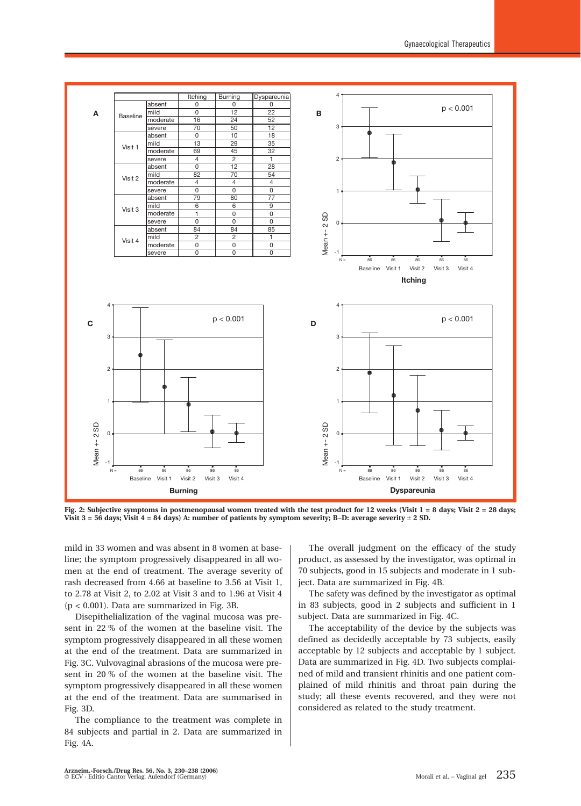

Fig. 2: Subjective symptoms in postmenopausal women treated with the test product for 12 weeks (Visit 1 = 8 days; Visit 2 = 28 days; **Visit 3 = 56 days; Visit 4 = 84 days) A: number of patients by symptom severity; B**−**D: average severity** ± **2 SD.**

mild in 33 women and was absent in 8 women at baseline; the symptom progressively disappeared in all women at the end of treatment. The average severity of rash decreased from 4.66 at baseline to 3.56 at Visit 1, to 2.78 at Visit 2, to 2.02 at Visit 3 and to 1.96 at Visit 4 (p < 0.001). Data are summarized in Fig. 3B.

Disepithelialization of the vaginal mucosa was present in 22 % of the women at the baseline visit. The symptom progressively disappeared in all these women at the end of the treatment. Data are summarized in Fig. 3C. Vulvovaginal abrasions of the mucosa were present in 20 % of the women at the baseline visit. The symptom progressively disappeared in all these women at the end of the treatment. Data are summarised in Fig. 3D.

The compliance to the treatment was complete in 84 subjects and partial in 2. Data are summarized in Fig. 4A.

The overall judgment on the efficacy of the study product, as assessed by the investigator, was optimal in 70 subjects, good in 15 subjects and moderate in 1 subject. Data are summarized in Fig. 4B.

The safety was defined by the investigator as optimal in 83 subjects, good in 2 subjects and sufficient in 1 subject. Data are summarized in Fig. 4C.

The acceptability of the device by the subjects was defined as decidedly acceptable by 73 subjects, easily acceptable by 12 subjects and acceptable by 1 subject. Data are summarized in Fig. 4D. Two subjects complained of mild and transient rhinitis and one patient complained of mild rhinitis and throat pain during the study; all these events recovered, and they were not considered as related to the study treatment.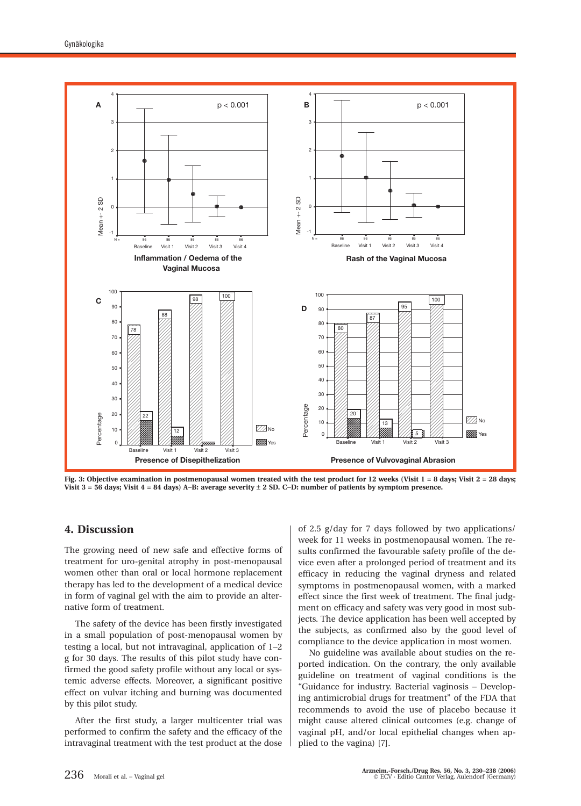

Fig. 3: Objective examination in postmenopausal women treated with the test product for 12 weeks (Visit 1 = 8 days; Visit 2 = 28 days; **Visit 3 = 56 days; Visit 4 = 84 days) A**−**B: average severity** ± **2 SD. C**−**D: number of patients by symptom presence.**

# **4. Discussion**

The growing need of new safe and effective forms of treatment for uro-genital atrophy in post-menopausal women other than oral or local hormone replacement therapy has led to the development of a medical device in form of vaginal gel with the aim to provide an alternative form of treatment.

The safety of the device has been firstly investigated in a small population of post-menopausal women by testing a local, but not intravaginal, application of 1−2 g for 30 days. The results of this pilot study have confirmed the good safety profile without any local or systemic adverse effects. Moreover, a significant positive effect on vulvar itching and burning was documented by this pilot study.

After the first study, a larger multicenter trial was performed to confirm the safety and the efficacy of the intravaginal treatment with the test product at the dose of 2.5 g/day for 7 days followed by two applications/ week for 11 weeks in postmenopausal women. The results confirmed the favourable safety profile of the device even after a prolonged period of treatment and its efficacy in reducing the vaginal dryness and related symptoms in postmenopausal women, with a marked effect since the first week of treatment. The final judgment on efficacy and safety was very good in most subjects. The device application has been well accepted by the subjects, as confirmed also by the good level of compliance to the device application in most women.

No guideline was available about studies on the reported indication. On the contrary, the only available guideline on treatment of vaginal conditions is the "Guidance for industry. Bacterial vaginosis − Developing antimicrobial drugs for treatment" of the FDA that recommends to avoid the use of placebo because it might cause altered clinical outcomes (e.g. change of vaginal pH, and/or local epithelial changes when applied to the vagina) [7].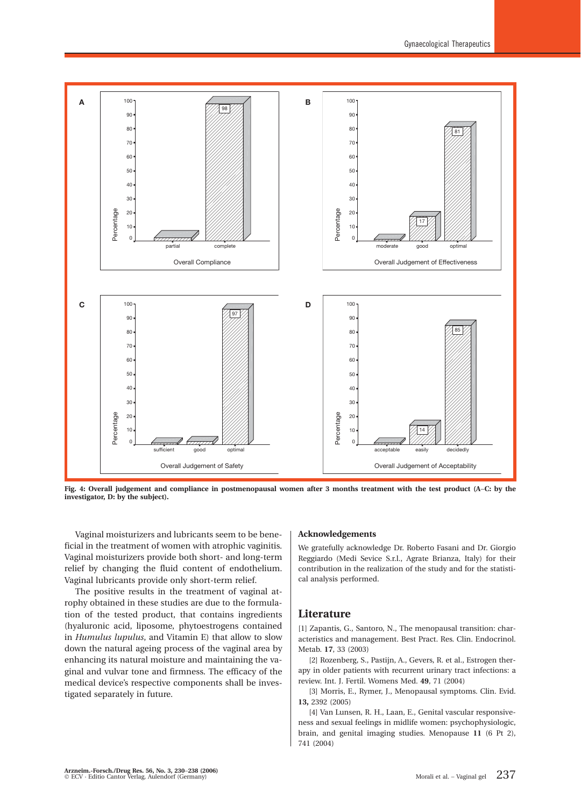

**Fig. 4: Overall judgement and compliance in postmenopausal women after 3 months treatment with the test product (A**−**C: by the investigator, D: by the subject).**

Vaginal moisturizers and lubricants seem to be beneficial in the treatment of women with atrophic vaginitis. Vaginal moisturizers provide both short- and long-term relief by changing the fluid content of endothelium. Vaginal lubricants provide only short-term relief.

The positive results in the treatment of vaginal atrophy obtained in these studies are due to the formulation of the tested product, that contains ingredients (hyaluronic acid, liposome, phytoestrogens contained in *Humulus lupulus*, and Vitamin E) that allow to slow down the natural ageing process of the vaginal area by enhancing its natural moisture and maintaining the vaginal and vulvar tone and firmness. The efficacy of the medical device's respective components shall be investigated separately in future.

#### **Acknowledgements**

We gratefully acknowledge Dr. Roberto Fasani and Dr. Giorgio Reggiardo (Medi Sevice S.r.l., Agrate Brianza, Italy) for their contribution in the realization of the study and for the statistical analysis performed.

#### **Literature**

[1] Zapantis, G., Santoro, N., The menopausal transition: characteristics and management. Best Pract. Res. Clin. Endocrinol. Metab. **17**, 33 (2003)

[2] Rozenberg, S., Pastijn, A., Gevers, R. et al., Estrogen therapy in older patients with recurrent urinary tract infections: a review. Int. J. Fertil. Womens Med. **49**, 71 (2004)

[3] Morris, E., Rymer, J., Menopausal symptoms. Clin. Evid. **13,** 2392 (2005)

[4] Van Lunsen, R. H., Laan, E., Genital vascular responsiveness and sexual feelings in midlife women: psychophysiologic, brain, and genital imaging studies. Menopause **11** (6 Pt 2), 741 (2004)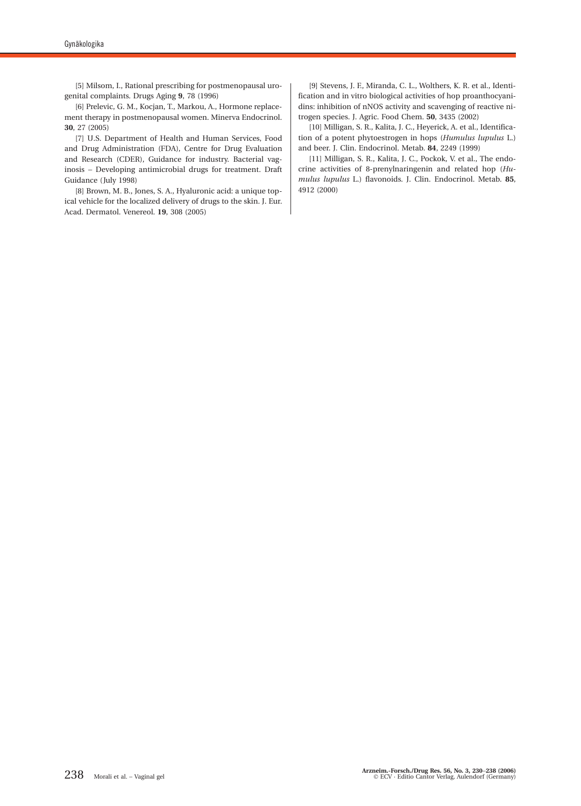[5] Milsom, I., Rational prescribing for postmenopausal urogenital complaints. Drugs Aging **9**, 78 (1996)

[6] Prelevic, G. M., Kocjan, T., Markou, A., Hormone replacement therapy in postmenopausal women. Minerva Endocrinol. **30**, 27 (2005)

[7] U.S. Department of Health and Human Services, Food and Drug Administration (FDA), Centre for Drug Evaluation and Research (CDER), Guidance for industry. Bacterial vaginosis − Developing antimicrobial drugs for treatment. Draft Guidance (July 1998)

[8] Brown, M. B., Jones, S. A., Hyaluronic acid: a unique topical vehicle for the localized delivery of drugs to the skin. J. Eur. Acad. Dermatol. Venereol. **19**, 308 (2005)

[9] Stevens, J. F., Miranda, C. L., Wolthers, K. R. et al., Identification and in vitro biological activities of hop proanthocyanidins: inhibition of nNOS activity and scavenging of reactive nitrogen species. J. Agric. Food Chem. **50**, 3435 (2002)

[10] Milligan, S. R., Kalita, J. C., Heyerick, A. et al., Identification of a potent phytoestrogen in hops (*Humulus lupulus* L.) and beer. J. Clin. Endocrinol. Metab. **84**, 2249 (1999)

[11] Milligan, S. R., Kalita, J. C., Pockok, V. et al., The endocrine activities of 8-prenylnaringenin and related hop (*Humulus lupulus* L.) flavonoids. J. Clin. Endocrinol. Metab. **85**, 4912 (2000)